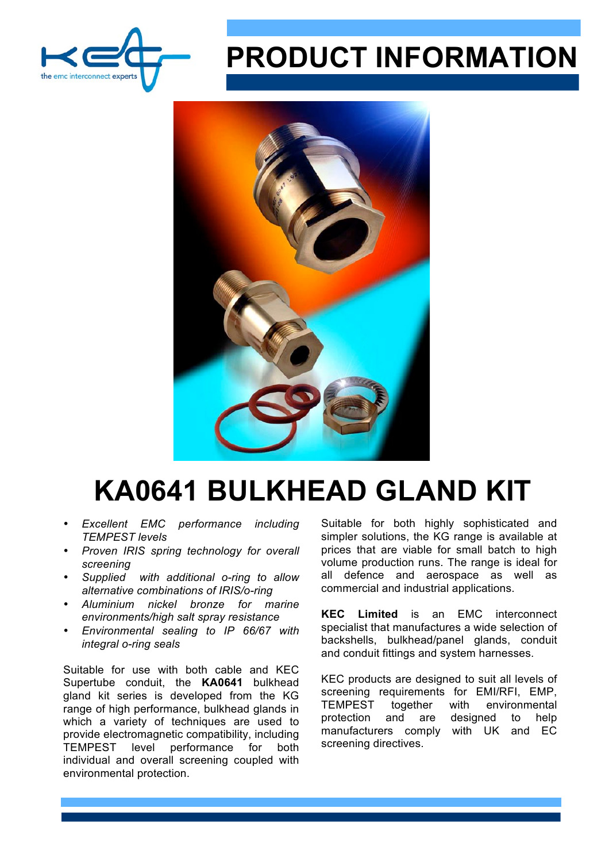

## **PRODUCT INFORMATION**



## **KA0641 BULKHEAD GLAND KIT**

- *Excellent EMC performance including TEMPEST levels*
- *Proven IRIS spring technology for overall screening*
- *Supplied with additional o-ring to allow alternative combinations of IRIS/o-ring*
- *Aluminium nickel bronze for marine environments/high salt spray resistance*
- *Environmental sealing to IP 66/67 with integral o-ring seals*

Suitable for use with both cable and KEC Supertube conduit, the **KA0641** bulkhead gland kit series is developed from the KG range of high performance, bulkhead glands in which a variety of techniques are used to provide electromagnetic compatibility, including TEMPEST level performance for both individual and overall screening coupled with environmental protection.

Suitable for both highly sophisticated and simpler solutions, the KG range is available at prices that are viable for small batch to high volume production runs. The range is ideal for all defence and aerospace as well as commercial and industrial applications.

**KEC Limited** is an EMC interconnect specialist that manufactures a wide selection of backshells, bulkhead/panel glands, conduit and conduit fittings and system harnesses.

KEC products are designed to suit all levels of screening requirements for EMI/RFI, EMP. TEMPEST together with environmental protection and are designed to help manufacturers comply with UK and EC screening directives.